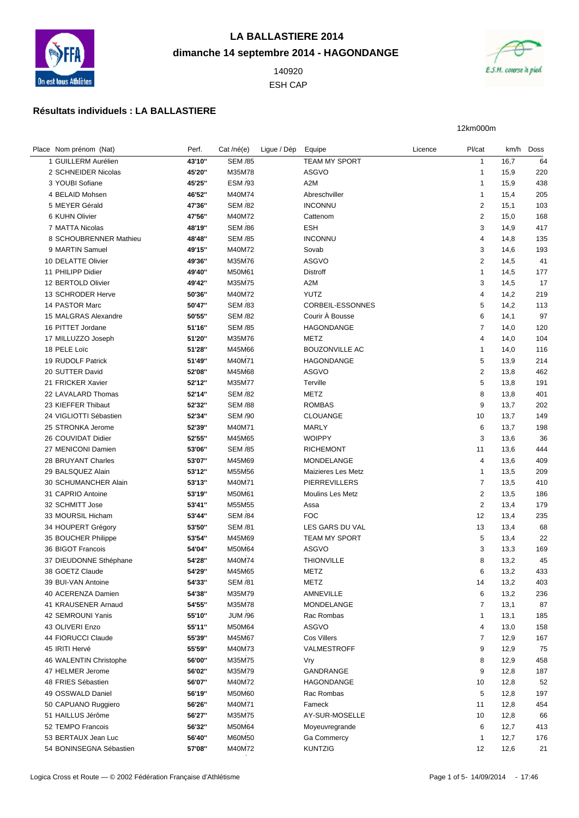

## **LA BALLASTIERE 2014 dimanche 14 septembre 2014 - HAGONDANGE**

 ESH CAP



12km000m

## **Résultats individuels : LA BALLASTIERE**

| Place Nom prénom (Nat)  | Perf.  | $Cat/n\acute{e}$ (e) | Ligue / Dép | Equipe                  | Licence | Pl/cat         |      | km/h Doss |
|-------------------------|--------|----------------------|-------------|-------------------------|---------|----------------|------|-----------|
| 1 GUILLERM Aurélien     | 43'10" | <b>SEM /85</b>       |             | TEAM MY SPORT           |         | $\mathbf{1}$   | 16,7 | 64        |
| 2 SCHNEIDER Nicolas     | 45'20" | M35M78               |             | <b>ASGVO</b>            |         | $\mathbf{1}$   | 15,9 | 220       |
| 3 YOUBI Sofiane         | 45'25" | <b>ESM /93</b>       |             | A <sub>2</sub> M        |         | $\mathbf{1}$   | 15,9 | 438       |
| 4 BELAID Mohsen         | 46'52" | M40M74               |             | Abreschviller           |         | $\mathbf{1}$   | 15,4 | 205       |
| 5 MEYER Gérald          | 47'36" | <b>SEM /82</b>       |             | <b>INCONNU</b>          |         | $\overline{c}$ | 15,1 | 103       |
| 6 KUHN Olivier          | 47'56" | M40M72               |             | Cattenom                |         | $\overline{2}$ | 15,0 | 168       |
| 7 MATTA Nicolas         | 48'19" | <b>SEM /86</b>       |             | <b>ESH</b>              |         | 3              | 14,9 | 417       |
| 8 SCHOUBRENNER Mathieu  | 48'48" | <b>SEM /85</b>       |             | <b>INCONNU</b>          |         | $\overline{4}$ | 14,8 | 135       |
| 9 MARTIN Samuel         | 49'15" | M40M72               |             | Sovab                   |         | 3              | 14,6 | 193       |
| 10 DELATTE Olivier      | 49'36" | M35M76               |             | ASGVO                   |         | $\overline{2}$ | 14,5 | 41        |
| 11 PHILIPP Didier       | 49'40" | M50M61               |             | Distroff                |         | $\mathbf{1}$   | 14,5 | 177       |
| 12 BERTOLD Olivier      | 49'42" | M35M75               |             | A <sub>2</sub> M        |         | 3              | 14,5 | 17        |
| 13 SCHRODER Herve       | 50'36" | M40M72               |             | <b>YUTZ</b>             |         | 4              | 14,2 | 219       |
| 14 PASTOR Marc          | 50'47" | <b>SEM /83</b>       |             | CORBEIL-ESSONNES        |         | 5              | 14,2 | 113       |
| 15 MALGRAS Alexandre    | 50'55" | <b>SEM /82</b>       |             | Courir À Bousse         |         | 6              |      | 97        |
| 16 PITTET Jordane       | 51'16" | <b>SEM /85</b>       |             | HAGONDANGE              |         | $\overline{7}$ | 14,1 |           |
| 17 MILLUZZO Joseph      | 51'20" | M35M76               |             | <b>METZ</b>             |         | 4              | 14,0 | 120       |
|                         |        | M45M66               |             | <b>BOUZONVILLE AC</b>   |         | $\mathbf{1}$   | 14,0 | 104       |
| 18 PELE Loïc            | 51'28" |                      |             | <b>HAGONDANGE</b>       |         |                | 14,0 | 116       |
| 19 RUDOLF Patrick       | 51'49" | M40M71               |             |                         |         | 5              | 13,9 | 214       |
| 20 SUTTER David         | 52'08" | M45M68               |             | <b>ASGVO</b>            |         | $\overline{2}$ | 13,8 | 462       |
| 21 FRICKER Xavier       | 52'12" | M35M77               |             | Terville                |         | 5              | 13,8 | 191       |
| 22 LAVALARD Thomas      | 52'14" | <b>SEM /82</b>       |             | METZ                    |         | 8              | 13,8 | 401       |
| 23 KIEFFER Thibaut      | 52'32" | <b>SEM /88</b>       |             | <b>ROMBAS</b>           |         | 9              | 13,7 | 202       |
| 24 VIGLIOTTI Sébastien  | 52'34" | <b>SEM /90</b>       |             | CLOUANGE                |         | 10             | 13,7 | 149       |
| 25 STRONKA Jerome       | 52'39" | M40M71               |             | <b>MARLY</b>            |         | 6              | 13,7 | 198       |
| 26 COUVIDAT Didier      | 52'55" | M45M65               |             | <b>WOIPPY</b>           |         | 3              | 13,6 | 36        |
| 27 MENICONI Damien      | 53'06" | <b>SEM /85</b>       |             | <b>RICHEMONT</b>        |         | 11             | 13,6 | 444       |
| 28 BRUYANT Charles      | 53'07" | M45M69               |             | <b>MONDELANGE</b>       |         | $\overline{4}$ | 13,6 | 409       |
| 29 BALSQUEZ Alain       | 53'12" | M55M56               |             | Maizieres Les Metz      |         | $\mathbf{1}$   | 13,5 | 209       |
| 30 SCHUMANCHER Alain    | 53'13" | M40M71               |             | PIERREVILLERS           |         | $\overline{7}$ | 13,5 | 410       |
| 31 CAPRIO Antoine       | 53'19" | M50M61               |             | <b>Moulins Les Metz</b> |         | $\overline{2}$ | 13,5 | 186       |
| 32 SCHMITT Jose         | 53'41" | M55M55               |             | Assa                    |         | $\overline{2}$ | 13,4 | 179       |
| 33 MOURSIL Hicham       | 53'44" | <b>SEM /84</b>       |             | <b>FOC</b>              |         | 12             | 13,4 | 235       |
| 34 HOUPERT Grégory      | 53'50" | <b>SEM /81</b>       |             | LES GARS DU VAL         |         | 13             | 13,4 | 68        |
| 35 BOUCHER Philippe     | 53'54" | M45M69               |             | <b>TEAM MY SPORT</b>    |         | 5              | 13,4 | 22        |
| 36 BIGOT Francois       | 54'04" | M50M64               |             | <b>ASGVO</b>            |         | 3              | 13,3 | 169       |
| 37 DIEUDONNE Sthéphane  | 54'28" | M40M74               |             | <b>THIONVILLE</b>       |         | 8              | 13,2 | 45        |
| 38 GOETZ Claude         | 54'29" | M45M65               |             | <b>METZ</b>             |         | 6              | 13,2 | 433       |
| 39 BUI-VAN Antoine      | 54'33" | <b>SEM /81</b>       |             | METZ                    |         | 14             | 13,2 | 403       |
| 40 ACERENZA Damien      | 54'38" | M35M79               |             | AMNEVILLE               |         | 6              | 13,2 | 236       |
| 41 KRAUSENER Arnaud     | 54'55" | M35M78               |             | <b>MONDELANGE</b>       |         | $\overline{7}$ | 13,1 | 87        |
| 42 SEMROUNI Yanis       | 55'10" | <b>JUM /96</b>       |             | Rac Rombas              |         | $\mathbf{1}$   | 13,1 | 185       |
| 43 OLIVERI Enzo         | 55'11" | M50M64               |             | ASGVO                   |         | 4              | 13,0 | 158       |
| 44 FIORUCCI Claude      | 55'39" | M45M67               |             | Cos Villers             |         | $\overline{7}$ | 12,9 | 167       |
| 45 IRITI Hervé          | 55'59" | M40M73               |             | VALMESTROFF             |         | 9              | 12,9 | 75        |
| 46 WALENTIN Christophe  | 56'00" | M35M75               |             | Vry                     |         | 8              | 12,9 | 458       |
| 47 HELMER Jerome        | 56'02" | M35M79               |             | GANDRANGE               |         | 9              | 12,8 | 187       |
| 48 FRIES Sébastien      | 56'07" | M40M72               |             | <b>HAGONDANGE</b>       |         | 10             | 12,8 | 52        |
| 49 OSSWALD Daniel       | 56'19" | M50M60               |             | Rac Rombas              |         | 5              | 12,8 | 197       |
| 50 CAPUANO Ruggiero     | 56'26" | M40M71               |             | Fameck                  |         | 11             | 12,8 | 454       |
| 51 HAILLUS Jérôme       | 56'27" | M35M75               |             | AY-SUR-MOSELLE          |         | 10             | 12,8 | 66        |
| 52 TEMPO Francois       | 56'32" | M50M64               |             | Moyeuvregrande          |         | 6              | 12,7 | 413       |
| 53 BERTAUX Jean Luc     | 56'40" | M60M50               |             | Ga Commercy             |         | $\mathbf{1}$   | 12,7 | 176       |
| 54 BONINSEGNA Sébastien | 57'08" | M40M72               |             | <b>KUNTZIG</b>          |         | 12             | 12,6 | 21        |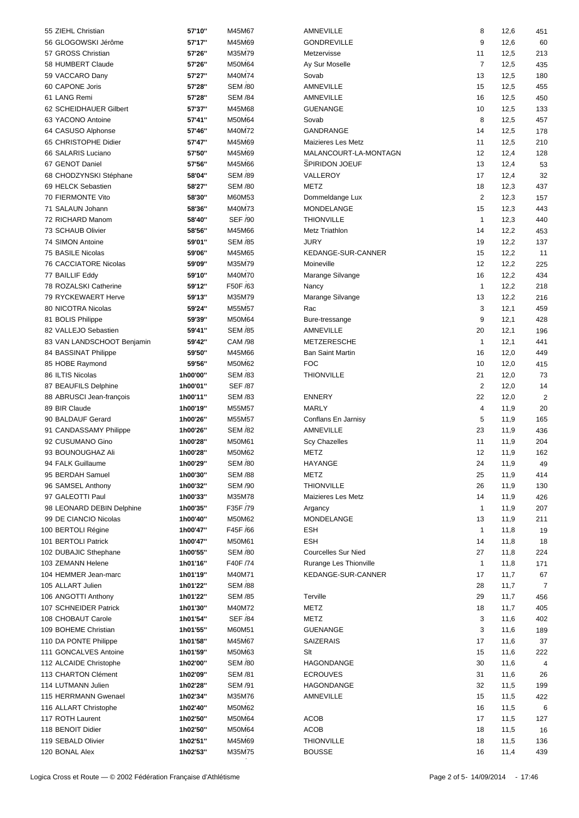| 55 ZIEHL Christian         | 57'10"   | M45M67         | AMNEVILLE                  | 8              | 12,6 | 451            |
|----------------------------|----------|----------------|----------------------------|----------------|------|----------------|
| 56 GLOGOWSKI Jérôme        | 57'17"   | M45M69         | <b>GONDREVILLE</b>         | 9              | 12,6 | 60             |
| 57 GROSS Christian         | 57'26"   | M35M79         | Metzervisse                | 11             | 12,5 | 213            |
| 58 HUMBERT Claude          | 57'26"   | M50M64         | Ay Sur Moselle             | $\overline{7}$ | 12,5 | 435            |
|                            |          |                |                            |                |      |                |
| 59 VACCARO Dany            | 57'27"   | M40M74         | Sovab                      | 13             | 12,5 | 180            |
| 60 CAPONE Joris            | 57'28"   | <b>SEM /80</b> | AMNEVILLE                  | 15             | 12,5 | 455            |
| 61 LANG Remi               | 57'28"   | <b>SEM /84</b> | AMNEVILLE                  | 16             | 12,5 | 450            |
| 62 SCHEIDHAUER Gilbert     | 57'37"   | M45M68         | <b>GUENANGE</b>            | 10             | 12,5 | 133            |
| 63 YACONO Antoine          | 57'41"   | M50M64         | Sovab                      | 8              | 12,5 | 457            |
| 64 CASUSO Alphonse         | 57'46"   | M40M72         | GANDRANGE                  | 14             | 12,5 | 178            |
|                            |          |                |                            |                |      |                |
| 65 CHRISTOPHE Didier       | 57'47"   | M45M69         | Maizieres Les Metz         | 11             | 12,5 | 210            |
| 66 SALARIS Luciano         | 57'50"   | M45M69         | MALANCOURT-LA-MONTAGN      | 12             | 12,4 | 128            |
| 67 GENOT Daniel            | 57'56"   | M45M66         | <b>SPIRIDON JOEUF</b>      | 13             | 12,4 | 53             |
| 68 CHODZYNSKI Stéphane     | 58'04"   | <b>SEM /89</b> | VALLEROY                   | 17             | 12,4 | 32             |
| 69 HELCK Sebastien         | 58'27"   | <b>SEM /80</b> | <b>METZ</b>                | 18             | 12,3 | 437            |
| 70 FIERMONTE Vito          | 58'30"   | M60M53         | Dommeldange Lux            | $\overline{2}$ | 12,3 | 157            |
|                            |          |                |                            |                |      |                |
| 71 SALAUN Johann           | 58'36"   | M40M73         | MONDELANGE                 | 15             | 12,3 | 443            |
| 72 RICHARD Manom           | 58'40"   | <b>SEF /90</b> | <b>THIONVILLE</b>          | $\mathbf{1}$   | 12,3 | 440            |
| 73 SCHAUB Olivier          | 58'56"   | M45M66         | <b>Metz Triathlon</b>      | 14             | 12,2 | 453            |
| 74 SIMON Antoine           | 59'01"   | <b>SEM /85</b> | <b>JURY</b>                | 19             | 12,2 | 137            |
| 75 BASILE Nicolas          | 59'06"   | M45M65         | KEDANGE-SUR-CANNER         | 15             | 12,2 | 11             |
| 76 CACCIATORE Nicolas      | 59'09"   | M35M79         | Moineville                 | 12             | 12,2 | 225            |
|                            |          |                |                            |                |      |                |
| 77 BAILLIF Eddy            | 59'10"   | M40M70         | Marange Silvange           | 16             | 12,2 | 434            |
| 78 ROZALSKI Catherine      | 59'12"   | F50F /63       | Nancy                      | $\mathbf{1}$   | 12,2 | 218            |
| 79 RYCKEWAERT Herve        | 59'13"   | M35M79         | Marange Silvange           | 13             | 12,2 | 216            |
| 80 NICOTRA Nicolas         | 59'24"   | M55M57         | Rac                        | 3              | 12,1 | 459            |
| 81 BOLIS Philippe          | 59'39"   | M50M64         | Bure-tressange             | 9              | 12,1 | 428            |
|                            |          |                |                            |                |      |                |
| 82 VALLEJO Sebastien       | 59'41"   | <b>SEM /85</b> | AMNEVILLE                  | 20             | 12,1 | 196            |
| 83 VAN LANDSCHOOT Benjamin | 59'42"   | <b>CAM /98</b> | <b>METZERESCHE</b>         | $\mathbf{1}$   | 12,1 | 441            |
| 84 BASSINAT Philippe       | 59'50"   | M45M66         | <b>Ban Saint Martin</b>    | 16             | 12,0 | 449            |
| 85 HOBE Raymond            | 59'56"   | M50M62         | <b>FOC</b>                 | 10             | 12,0 | 415            |
| 86 ILTIS Nicolas           | 1h00'00" | <b>SEM /83</b> | <b>THIONVILLE</b>          | 21             | 12,0 | 73             |
| 87 BEAUFILS Delphine       | 1h00'01" | <b>SEF /87</b> |                            | $\overline{2}$ | 12,0 | 14             |
|                            |          |                |                            |                |      |                |
| 88 ABRUSCI Jean-françois   | 1h00'11" | <b>SEM /83</b> | <b>ENNERY</b>              | 22             | 12,0 | $\overline{2}$ |
| 89 BIR Claude              | 1h00'19" | M55M57         | <b>MARLY</b>               | 4              | 11,9 | 20             |
| 90 BALDAUF Gerard          | 1h00'26" | M55M57         | Conflans En Jarnisy        | 5              | 11,9 | 165            |
| 91 CANDASSAMY Philippe     | 1h00'26" | <b>SEM /82</b> | AMNEVILLE                  | 23             | 11,9 | 436            |
| 92 CUSUMANO Gino           | 1h00'28" | M50M61         | <b>Scy Chazelles</b>       | 11             | 11,9 | 204            |
|                            |          |                |                            |                |      |                |
| 93 BOUNOUGHAZ Ali          | 1h00'28" | M50M62         | <b>METZ</b>                | 12             | 11,9 | 162            |
| 94 FALK Guillaume          | 1h00'29" | <b>SEM /80</b> | <b>HAYANGE</b>             | 24             | 11,9 | 49             |
| 95 BERDAH Samuel           | 1h00'30" | <b>SEM /88</b> | METZ                       | 25             | 11,9 | 414            |
| 96 SAMSEL Anthony          | 1h00'32" | <b>SEM /90</b> | <b>THIONVILLE</b>          | 26             | 11,9 | 130            |
| 97 GALEOTTI Paul           | 1h00'33" | M35M78         | Maizieres Les Metz         | 14             | 11,9 | 426            |
| 98 LEONARD DEBIN Delphine  |          |                |                            |                |      |                |
|                            | 1h00'35" | F35F /79       | Argancy                    | $\mathbf{1}$   | 11,9 | 207            |
| 99 DE CIANCIO Nicolas      | 1h00'40" | M50M62         | MONDELANGE                 | 13             | 11,9 | 211            |
| 100 BERTOLI Régine         | 1h00'47" | F45F /66       | ESH                        | $\mathbf{1}$   | 11,8 | 19             |
| 101 BERTOLI Patrick        | 1h00'47" | M50M61         | <b>ESH</b>                 | 14             | 11,8 | 18             |
| 102 DUBAJIC Sthephane      | 1h00'55" | <b>SEM /80</b> | <b>Courcelles Sur Nied</b> | 27             | 11,8 | 224            |
| 103 ZEMANN Helene          | 1h01'16" | F40F /74       | Rurange Les Thionville     | $\mathbf{1}$   | 11,8 | 171            |
|                            |          |                |                            |                |      |                |
| 104 HEMMER Jean-marc       | 1h01'19" | M40M71         | KEDANGE-SUR-CANNER         | 17             | 11,7 | 67             |
| 105 ALLART Julien          | 1h01'22" | <b>SEM /88</b> |                            | 28             | 11,7 | 7              |
| 106 ANGOTTI Anthony        | 1h01'22" | <b>SEM /85</b> | Terville                   | 29             | 11,7 | 456            |
| 107 SCHNEIDER Patrick      | 1h01'30" | M40M72         | METZ                       | 18             | 11,7 | 405            |
| 108 CHOBAUT Carole         | 1h01'54" | <b>SEF /84</b> | METZ                       | 3              | 11,6 | 402            |
| 109 BOHEME Christian       | 1h01'55" | M60M51         | <b>GUENANGE</b>            | 3              | 11,6 | 189            |
|                            |          |                |                            |                |      |                |
| 110 DA PONTE Philippe      | 1h01'58" | M45M67         | <b>SAIZERAIS</b>           | 17             | 11,6 | 37             |
| 111 GONCALVES Antoine      | 1h01'59" | M50M63         | Slt                        | 15             | 11,6 | 222            |
| 112 ALCAIDE Christophe     | 1h02'00" | <b>SEM /80</b> | HAGONDANGE                 | 30             | 11,6 | 4              |
| 113 CHARTON Clément        | 1h02'09" | <b>SEM /81</b> | <b>ECROUVES</b>            | 31             | 11,6 | 26             |
| 114 LUTMANN Julien         | 1h02'28" | <b>SEM /91</b> | HAGONDANGE                 | 32             | 11,5 | 199            |
|                            |          |                |                            |                |      |                |
| 115 HERRMANN Gwenael       | 1h02'34" | M35M76         | AMNEVILLE                  | 15             | 11,5 | 422            |
| 116 ALLART Christophe      | 1h02'40" | M50M62         |                            | 16             | 11,5 | 6              |
| 117 ROTH Laurent           | 1h02'50" | M50M64         | <b>ACOB</b>                | 17             | 11,5 | 127            |
| 118 BENOIT Didier          | 1h02'50" | M50M64         | <b>ACOB</b>                | 18             | 11,5 | 16             |
| 119 SEBALD Olivier         | 1h02'51" | M45M69         | <b>THIONVILLE</b>          | 18             | 11,5 | 136            |
| 120 BONAL Alex             | 1h02'53" | M35M75         | <b>BOUSSE</b>              | 16             | 11,4 | 439            |
|                            |          |                |                            |                |      |                |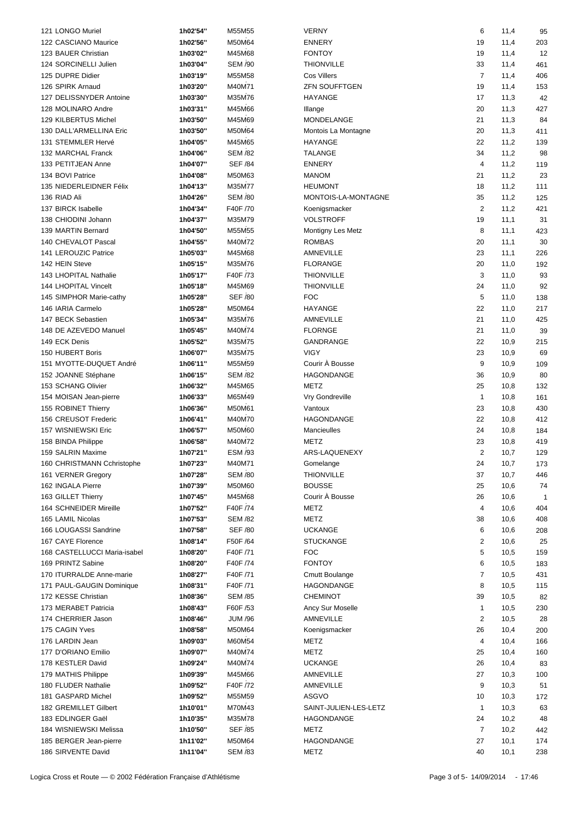| 121 LONGO Muriel             | 1h02'54" | M55M55         | <b>VERNY</b>          | 6              | 11,4 | 95           |  |
|------------------------------|----------|----------------|-----------------------|----------------|------|--------------|--|
| 122 CASCIANO Maurice         | 1h02'56" | M50M64         | <b>ENNERY</b>         | 19             | 11,4 | 203          |  |
| 123 BAUER Christian          | 1h03'02" | M45M68         | <b>FONTOY</b>         | 19             | 11,4 | 12           |  |
| 124 SORCINELLI Julien        | 1h03'04" | <b>SEM /90</b> | <b>THIONVILLE</b>     | 33             |      | 461          |  |
|                              |          |                |                       |                | 11,4 |              |  |
| 125 DUPRE Didier             | 1h03'19" | M55M58         | <b>Cos Villers</b>    | $\overline{7}$ | 11,4 | 406          |  |
| 126 SPIRK Arnaud             | 1h03'20" | M40M71         | <b>ZFN SOUFFTGEN</b>  | 19             | 11,4 | 153          |  |
| 127 DELISSNYDER Antoine      | 1h03'30" | M35M76         | HAYANGE               | 17             | 11,3 | 42           |  |
| 128 MOLINARO Andre           | 1h03'31" | M45M66         | Illange               | 20             | 11,3 | 427          |  |
| 129 KILBERTUS Michel         | 1h03'50" | M45M69         | MONDELANGE            | 21             | 11,3 | 84           |  |
| 130 DALL'ARMELLINA Eric      | 1h03'50" | M50M64         | Montois La Montagne   | 20             | 11,3 | 411          |  |
| 131 STEMMLER Hervé           | 1h04'05" | M45M65         | <b>HAYANGE</b>        | 22             | 11,2 | 139          |  |
| 132 MARCHAL Franck           | 1h04'06" | <b>SEM /82</b> | <b>TALANGE</b>        | 34             | 11,2 | 98           |  |
| 133 PETITJEAN Anne           | 1h04'07" | <b>SEF /84</b> | <b>ENNERY</b>         | 4              | 11,2 | 119          |  |
| 134 BOVI Patrice             | 1h04'08" | M50M63         | <b>MANOM</b>          | 21             | 11,2 | 23           |  |
| 135 NIEDERLEIDNER Félix      | 1h04'13" | M35M77         | <b>HEUMONT</b>        | 18             | 11,2 | 111          |  |
| 136 RIAD Ali                 | 1h04'26" | <b>SEM /80</b> | MONTOIS-LA-MONTAGNE   | 35             | 11,2 | 125          |  |
|                              |          |                |                       |                |      |              |  |
| 137 BIRCK Isabelle           | 1h04'34" | F40F /70       | Koenigsmacker         | $\overline{2}$ | 11,2 | 421          |  |
| 138 CHIODINI Johann          | 1h04'37" | M35M79         | <b>VOLSTROFF</b>      | 19             | 11,1 | 31           |  |
| 139 MARTIN Bernard           | 1h04'50" | M55M55         | Montigny Les Metz     | 8              | 11,1 | 423          |  |
| 140 CHEVALOT Pascal          | 1h04'55" | M40M72         | <b>ROMBAS</b>         | 20             | 11,1 | 30           |  |
| 141 LEROUZIC Patrice         | 1h05'03" | M45M68         | AMNEVILLE             | 23             | 11,1 | 226          |  |
| 142 HEIN Steve               | 1h05'15" | M35M76         | <b>FLORANGE</b>       | 20             | 11,0 | 192          |  |
| 143 LHOPITAL Nathalie        | 1h05'17" | F40F /73       | <b>THIONVILLE</b>     | 3              | 11,0 | 93           |  |
| 144 LHOPITAL Vincelt         | 1h05'18" | M45M69         | <b>THIONVILLE</b>     | 24             | 11,0 | 92           |  |
| 145 SIMPHOR Marie-cathy      | 1h05'28" | <b>SEF /80</b> | <b>FOC</b>            | 5              | 11,0 | 138          |  |
| 146 IARIA Carmelo            | 1h05'28" | M50M64         | <b>HAYANGE</b>        | 22             | 11,0 | 217          |  |
| 147 BECK Sebastien           | 1h05'34" | M35M76         | AMNEVILLE             | 21             | 11,0 | 425          |  |
| 148 DE AZEVEDO Manuel        | 1h05'45" | M40M74         | <b>FLORNGE</b>        | 21             |      | 39           |  |
|                              |          |                |                       |                | 11,0 |              |  |
| 149 ECK Denis                | 1h05'52" | M35M75         | GANDRANGE             | 22             | 10,9 | 215          |  |
| 150 HUBERT Boris             | 1h06'07" | M35M75         | <b>VIGY</b>           | 23             | 10,9 | 69           |  |
| 151 MYOTTE-DUQUET André      | 1h06'11" | M55M59         | Courir À Bousse       | 9              | 10,9 | 109          |  |
| 152 JOANNE Stéphane          | 1h06'15" | <b>SEM /82</b> | HAGONDANGE            | 36             | 10,9 | 80           |  |
| 153 SCHANG Olivier           | 1h06'32" | M45M65         | METZ                  | 25             | 10,8 | 132          |  |
| 154 MOISAN Jean-pierre       | 1h06'33" | M65M49         | Vry Gondreville       | $\mathbf{1}$   | 10,8 | 161          |  |
| 155 ROBINET Thierry          | 1h06'36" | M50M61         | Vantoux               | 23             | 10,8 | 430          |  |
| 156 CREUSOT Frederic         | 1h06'41" | M40M70         | HAGONDANGE            | 22             | 10,8 | 412          |  |
| 157 WISNIEWSKI Eric          | 1h06'57" | M50M60         | Mancieulles           | 24             | 10,8 | 184          |  |
| 158 BINDA Philippe           | 1h06'58" | M40M72         | <b>METZ</b>           | 23             | 10,8 | 419          |  |
| 159 SALRIN Maxime            | 1h07'21" | <b>ESM /93</b> | ARS-LAQUENEXY         | $\overline{2}$ | 10,7 | 129          |  |
|                              | 1h07'23" | M40M71         |                       | 24             |      | 173          |  |
| 160 CHRISTMANN Cchristophe   |          |                | Gomelange             |                | 10,7 |              |  |
| 161 VERNER Gregory           | 1h07'28" | <b>SEM /80</b> | <b>THIONVILLE</b>     | 37             | 10,7 | 446          |  |
| 162 INGALA Pierre            | 1h07'39" | M50M60         | <b>BOUSSE</b>         | 25             | 10,6 | 74           |  |
| 163 GILLET Thierry           | 1h07'45" | M45M68         | Courir À Bousse       | 26             | 10,6 | $\mathbf{1}$ |  |
| 164 SCHNEIDER Mireille       | 1h07'52" | F40F /74       | METZ                  | 4              | 10,6 | 404          |  |
| 165 LAMIL Nicolas            | 1h07'53" | <b>SEM /82</b> | METZ                  | 38             | 10,6 | 408          |  |
| 166 LOUGASSI Sandrine        | 1h07'58" | <b>SEF /80</b> | <b>UCKANGE</b>        | 6              | 10,6 | 208          |  |
| 167 CAYE Florence            | 1h08'14" | F50F /64       | <b>STUCKANGE</b>      | $\overline{2}$ | 10,6 | 25           |  |
| 168 CASTELLUCCI Maria-isabel | 1h08'20" | F40F /71       | <b>FOC</b>            | 5              | 10,5 | 159          |  |
| 169 PRINTZ Sabine            | 1h08'20" | F40F /74       | <b>FONTOY</b>         | 6              | 10,5 | 183          |  |
| 170 ITURRALDE Anne-marie     | 1h08'27" | F40F /71       | <b>Cmutt Boulange</b> | $\overline{7}$ | 10,5 | 431          |  |
| 171 PAUL-GAUGIN Dominique    | 1h08'31" | F40F /71       | HAGONDANGE            | 8              | 10,5 | 115          |  |
| 172 KESSE Christian          | 1h08'36" | <b>SEM /85</b> | <b>CHEMINOT</b>       | 39             | 10,5 | 82           |  |
|                              |          |                |                       |                |      |              |  |
| 173 MERABET Patricia         | 1h08'43" | F60F /53       | Ancy Sur Moselle      | $\mathbf{1}$   | 10,5 | 230          |  |
| 174 CHERRIER Jason           | 1h08'46" | <b>JUM /96</b> | AMNEVILLE             | $\overline{2}$ | 10,5 | 28           |  |
| 175 CAGIN Yves               | 1h08'58" | M50M64         | Koenigsmacker         | 26             | 10,4 | 200          |  |
| 176 LARDIN Jean              | 1h09'03" | M60M54         | METZ                  | 4              | 10,4 | 166          |  |
| 177 D'ORIANO Emilio          | 1h09'07" | M40M74         | METZ                  | 25             | 10,4 | 160          |  |
| 178 KESTLER David            | 1h09'24" | M40M74         | <b>UCKANGE</b>        | 26             | 10,4 | 83           |  |
| 179 MATHIS Philippe          | 1h09'39" | M45M66         | AMNEVILLE             | 27             | 10,3 | 100          |  |
| 180 FLUDER Nathalie          | 1h09'52" | F40F /72       | AMNEVILLE             | 9              | 10,3 | 51           |  |
| 181 GASPARD Michel           | 1h09'52" | M55M59         | ASGVO                 | 10             | 10,3 | 172          |  |
| 182 GREMILLET Gilbert        | 1h10'01" | M70M43         | SAINT-JULIEN-LES-LETZ | $\mathbf{1}$   | 10,3 | 63           |  |
| 183 EDLINGER Gaël            | 1h10'35" | M35M78         | HAGONDANGE            | 24             | 10,2 | 48           |  |
| 184 WISNIEWSKI Melissa       | 1h10'50" | <b>SEF /85</b> | METZ                  | $\overline{7}$ | 10,2 | 442          |  |
|                              |          |                |                       |                |      |              |  |
| 185 BERGER Jean-pierre       | 1h11'02" | M50M64         | HAGONDANGE            | 27             | 10,1 | 174          |  |
| 186 SIRVENTE David           | 1h11'04" | <b>SEM /83</b> | METZ                  | 40             | 10,1 | 238          |  |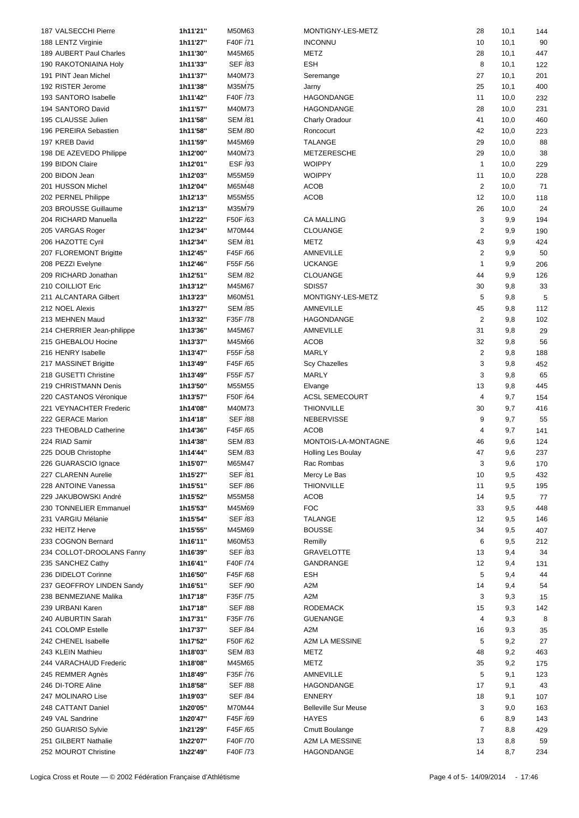| 187 VALSECCHI Pierre       | 1h11'21" | M50M63         | MONTIGNY-LES-METZ           | 28           | 10,1                  | 144 |  |
|----------------------------|----------|----------------|-----------------------------|--------------|-----------------------|-----|--|
| 188 LENTZ Virginie         | 1h11'27" | F40F /71       | <b>INCONNU</b>              | 10           | 10,1                  | 90  |  |
| 189 AUBERT Paul Charles    | 1h11'30" | M45M65         | METZ                        | 28           | 10,1                  | 447 |  |
|                            | 1h11'33" | <b>SEF /83</b> | <b>ESH</b>                  | 8            | 10,1                  | 122 |  |
| 190 RAKOTONIAINA Holy      |          |                |                             |              |                       |     |  |
| 191 PINT Jean Michel       | 1h11'37" | M40M73         | Seremange                   | 27           | 10,1                  | 201 |  |
| 192 RISTER Jerome          | 1h11'38" | M35M75         | Jarny                       | 25           | 10,1                  | 400 |  |
| 193 SANTORO Isabelle       | 1h11'42" | F40F /73       | HAGONDANGE                  | 11           | 10,0                  | 232 |  |
| 194 SANTORO David          | 1h11'57" | M40M73         | HAGONDANGE                  | 28           | 10,0                  | 231 |  |
| 195 CLAUSSE Julien         | 1h11'58" | <b>SEM /81</b> | <b>Charly Oradour</b>       | 41           | 10,0                  | 460 |  |
| 196 PEREIRA Sebastien      | 1h11'58" | <b>SEM /80</b> | Roncocurt                   | 42           | 10,0                  | 223 |  |
| 197 KREB David             | 1h11'59" | M45M69         | <b>TALANGE</b>              | 29           | 10,0                  | 88  |  |
| 198 DE AZEVEDO Philippe    | 1h12'00" | M40M73         | METZERESCHE                 | 29           | 10,0                  | 38  |  |
| 199 BIDON Claire           | 1h12'01" | <b>ESF /93</b> | <b>WOIPPY</b>               | $\mathbf{1}$ | 10,0                  | 229 |  |
| 200 BIDON Jean             | 1h12'03" | M55M59         | <b>WOIPPY</b>               | 11           | 10,0                  | 228 |  |
|                            |          | M65M48         | ACOB                        |              | $\overline{2}$        |     |  |
| 201 HUSSON Michel          | 1h12'04" |                |                             |              | 10,0                  | 71  |  |
| 202 PERNEL Philippe        | 1h12'13" | M55M55         | ACOB                        | 12           | 10,0                  | 118 |  |
| 203 BROUSSE Guillaume      | 1h12'13" | M35M79         |                             | 26           | 10,0                  | 24  |  |
| 204 RICHARD Manuella       | 1h12'22" | F50F /63       | <b>CA MALLING</b>           |              | 3<br>9,9              | 194 |  |
| 205 VARGAS Roger           | 1h12'34" | M70M44         | CLOUANGE                    |              | $\overline{2}$<br>9,9 | 190 |  |
| 206 HAZOTTE Cyril          | 1h12'34" | <b>SEM /81</b> | <b>METZ</b>                 | 43           | 9,9                   | 424 |  |
| 207 FLOREMONT Brigitte     | 1h12'45" | F45F /66       | AMNEVILLE                   |              | $\overline{2}$<br>9,9 | 50  |  |
| 208 PEZZI Evelyne          | 1h12'46" | F55F /56       | <b>UCKANGE</b>              | $\mathbf{1}$ | 9,9                   | 206 |  |
| 209 RICHARD Jonathan       | 1h12'51" | <b>SEM /82</b> | <b>CLOUANGE</b>             | 44           | 9,9                   | 126 |  |
| 210 COILLIOT Eric          | 1h13'12" | M45M67         | SDIS57                      | 30           | 9,8                   | 33  |  |
|                            |          |                |                             |              |                       |     |  |
| 211 ALCANTARA Gilbert      | 1h13'23" | M60M51         | MONTIGNY-LES-METZ           |              | 5<br>9,8              | 5   |  |
| 212 NOEL Alexis            | 1h13'27" | <b>SEM /85</b> | AMNEVILLE                   | 45           | 9,8                   | 112 |  |
| 213 MEHNEN Maud            | 1h13'32" | F35F /78       | HAGONDANGE                  |              | $\sqrt{2}$<br>9,8     | 102 |  |
| 214 CHERRIER Jean-philippe | 1h13'36" | M45M67         | AMNEVILLE                   | 31           | 9,8                   | 29  |  |
| 215 GHEBALOU Hocine        | 1h13'37" | M45M66         | <b>ACOB</b>                 | 32           | 9,8                   | 56  |  |
| 216 HENRY Isabelle         | 1h13'47" | F55F /58       | MARLY                       |              | $\overline{2}$<br>9,8 | 188 |  |
| 217 MASSINET Brigitte      | 1h13'49" | F45F /65       | <b>Scy Chazelles</b>        |              | 3<br>9,8              | 452 |  |
| 218 GUSETTI Christine      | 1h13'49" | F55F /57       | <b>MARLY</b>                |              | 3<br>9,8              | 65  |  |
| 219 CHRISTMANN Denis       | 1h13'50" | M55M55         | Elvange                     | 13           | 9,8                   | 445 |  |
|                            |          |                |                             |              |                       |     |  |
| 220 CASTANOS Véronique     | 1h13'57" | F50F /64       | <b>ACSL SEMECOURT</b>       |              | $\overline{4}$<br>9,7 | 154 |  |
| 221 VEYNACHTER Frederic    | 1h14'08" | M40M73         | <b>THIONVILLE</b>           | 30           | 9,7                   | 416 |  |
| 222 GERACE Marion          | 1h14'18" | <b>SEF /88</b> | <b>NEBERVISSE</b>           |              | 9<br>9,7              | 55  |  |
| 223 THEOBALD Catherine     | 1h14'36" | F45F /65       | <b>ACOB</b>                 |              | 4<br>9,7              | 141 |  |
| 224 RIAD Samir             | 1h14'38" | <b>SEM /83</b> | MONTOIS-LA-MONTAGNE         | 46           | 9,6                   | 124 |  |
| 225 DOUB Christophe        | 1h14'44" | <b>SEM /83</b> | Holling Les Boulay          | 47           | 9,6                   | 237 |  |
| 226 GUARASCIO Ignace       | 1h15'07" | M65M47         | Rac Rombas                  |              | 3<br>9,6              | 170 |  |
| 227 CLARENN Aurelie        | 1h15'27" | <b>SEF /81</b> | Mercy Le Bas                | 10           | 9,5                   | 432 |  |
| 228 ANTOINE Vanessa        | 1h15'51" | <b>SEF /86</b> | <b>THIONVILLE</b>           | 11           | 9,5                   | 195 |  |
| 229 JAKUBOWSKI André       |          |                |                             |              |                       |     |  |
|                            | 1h15'52" | M55M58         | ACOB                        | 14           | 9,5                   | 77  |  |
| 230 TONNELIER Emmanuel     | 1h15'53" | M45M69         | <b>FOC</b>                  | 33           | 9,5                   | 448 |  |
| 231 VARGIU Mélanie         | 1h15'54" | <b>SEF /83</b> | TALANGE                     | 12           | 9,5                   | 146 |  |
| 232 HEITZ Herve            | 1h15'55" | M45M69         | <b>BOUSSE</b>               | 34           | 9,5                   | 407 |  |
| 233 COGNON Bernard         | 1h16'11" | M60M53         | Remilly                     |              | 6<br>9,5              | 212 |  |
| 234 COLLOT-DROOLANS Fanny  | 1h16'39" | <b>SEF /83</b> | <b>GRAVELOTTE</b>           | 13           | 9,4                   | 34  |  |
| 235 SANCHEZ Cathy          | 1h16'41" | F40F /74       | GANDRANGE                   | 12           | 9,4                   | 131 |  |
| 236 DIDELOT Corinne        | 1h16'50" | F45F /68       | ESH                         |              | 5<br>9,4              | 44  |  |
| 237 GEOFFROY LINDEN Sandy  | 1h16'51" | <b>SEF /90</b> | A2M                         | 14           | 9,4                   | 54  |  |
| 238 BENMEZIANE Malika      | 1h17'18" | F35F /75       | A2M                         |              | 3<br>9,3              | 15  |  |
|                            |          |                |                             |              |                       |     |  |
| 239 URBANI Karen           | 1h17'18" | <b>SEF /88</b> | <b>RODEMACK</b>             | 15           | 9,3                   | 142 |  |
| 240 AUBURTIN Sarah         | 1h17'31" | F35F /76       | GUENANGE                    |              | 4<br>9,3              | 8   |  |
| 241 COLOMP Estelle         | 1h17'37" | <b>SEF /84</b> | A2M                         | 16           | 9,3                   | 35  |  |
| 242 CHENEL Isabelle        | 1h17'52" | F50F /62       | A2M LA MESSINE              |              | 5<br>9,2              | 27  |  |
| 243 KLEIN Mathieu          | 1h18'03" | <b>SEM /83</b> | METZ                        | 48           | 9,2                   | 463 |  |
| 244 VARACHAUD Frederic     | 1h18'08" | M45M65         | METZ                        | 35           | 9,2                   | 175 |  |
| 245 REMMER Agnès           | 1h18'49" | F35F /76       | AMNEVILLE                   |              | 5<br>9,1              | 123 |  |
| 246 DI-TORE Aline          | 1h18'58" | <b>SEF /88</b> | HAGONDANGE                  | 17           | 9,1                   | 43  |  |
| 247 MOLINARO Lise          | 1h19'03" | <b>SEF /84</b> | <b>ENNERY</b>               | 18           | 9,1                   | 107 |  |
|                            |          |                |                             |              |                       |     |  |
| 248 CATTANT Daniel         | 1h20'05" | M70M44         | <b>Belleville Sur Meuse</b> |              | 3<br>9,0              | 163 |  |
| 249 VAL Sandrine           | 1h20'47" | F45F /69       | <b>HAYES</b>                |              | 6<br>8,9              | 143 |  |
| 250 GUARISO Sylvie         | 1h21'29" | F45F /65       | <b>Cmutt Boulange</b>       |              | $\overline{7}$<br>8,8 | 429 |  |
| 251 GILBERT Nathalie       | 1h22'07" | F40F /70       | A2M LA MESSINE              | 13           | 8,8                   | 59  |  |
| 252 MOUROT Christine       | 1h22'49" | F40F /73       | HAGONDANGE                  | 14           | 8,7                   | 234 |  |
|                            |          |                |                             |              |                       |     |  |